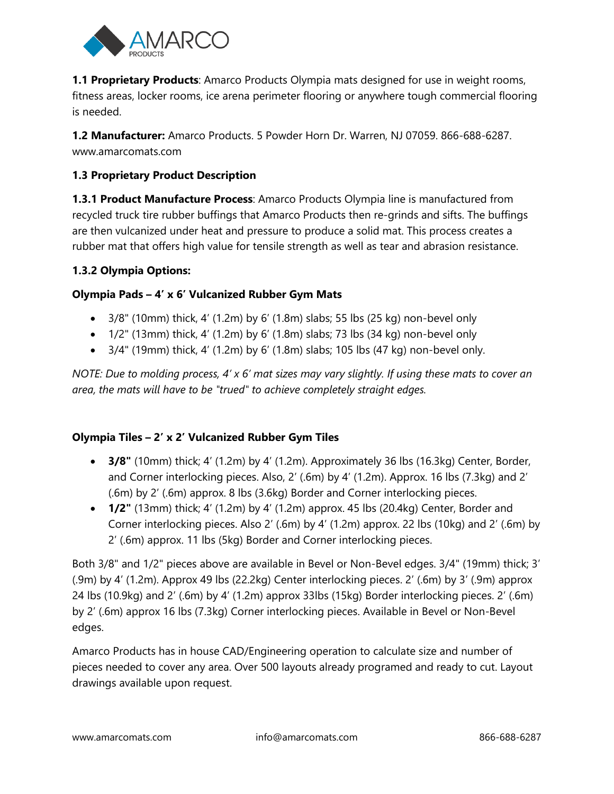

**1.1 Proprietary Products**: Amarco Products Olympia mats designed for use in weight rooms, fitness areas, locker rooms, ice arena perimeter flooring or anywhere tough commercial flooring is needed.

**1.2 Manufacturer:** Amarco Products. 5 Powder Horn Dr. Warren, NJ 07059. 866-688-6287. www.amarcomats.com

## **1.3 Proprietary Product Description**

**1.3.1 Product Manufacture Process**: Amarco Products Olympia line is manufactured from recycled truck tire rubber buffings that Amarco Products then re-grinds and sifts. The buffings are then vulcanized under heat and pressure to produce a solid mat. This process creates a rubber mat that offers high value for tensile strength as well as tear and abrasion resistance.

### **1.3.2 Olympia Options:**

## **Olympia Pads – 4' x 6' Vulcanized Rubber Gym Mats**

- $\bullet$  3/8" (10mm) thick, 4' (1.2m) by 6' (1.8m) slabs; 55 lbs (25 kg) non-bevel only
- $\bullet$  1/2" (13mm) thick, 4' (1.2m) by 6' (1.8m) slabs; 73 lbs (34 kg) non-bevel only
- $\bullet$  3/4" (19mm) thick, 4' (1.2m) by 6' (1.8m) slabs; 105 lbs (47 kg) non-bevel only.

*NOTE: Due to molding process, 4' x 6' mat sizes may vary slightly. If using these mats to cover an area, the mats will have to be "trued" to achieve completely straight edges.*

### **Olympia Tiles – 2' x 2' Vulcanized Rubber Gym Tiles**

- **3/8"** (10mm) thick; 4' (1.2m) by 4' (1.2m). Approximately 36 lbs (16.3kg) Center, Border, and Corner interlocking pieces. Also, 2' (.6m) by 4' (1.2m). Approx. 16 lbs (7.3kg) and 2' (.6m) by 2' (.6m) approx. 8 lbs (3.6kg) Border and Corner interlocking pieces.
- **1/2"** (13mm) thick; 4' (1.2m) by 4' (1.2m) approx. 45 lbs (20.4kg) Center, Border and Corner interlocking pieces. Also 2' (.6m) by 4' (1.2m) approx. 22 lbs (10kg) and 2' (.6m) by 2' (.6m) approx. 11 lbs (5kg) Border and Corner interlocking pieces.

Both 3/8" and 1/2" pieces above are available in Bevel or Non-Bevel edges. 3/4" (19mm) thick; 3' (.9m) by 4' (1.2m). Approx 49 lbs (22.2kg) Center interlocking pieces. 2' (.6m) by 3' (.9m) approx 24 lbs (10.9kg) and 2' (.6m) by 4' (1.2m) approx 33lbs (15kg) Border interlocking pieces. 2' (.6m) by 2' (.6m) approx 16 lbs (7.3kg) Corner interlocking pieces. Available in Bevel or Non-Bevel edges.

Amarco Products has in house CAD/Engineering operation to calculate size and number of pieces needed to cover any area. Over 500 layouts already programed and ready to cut. Layout drawings available upon request.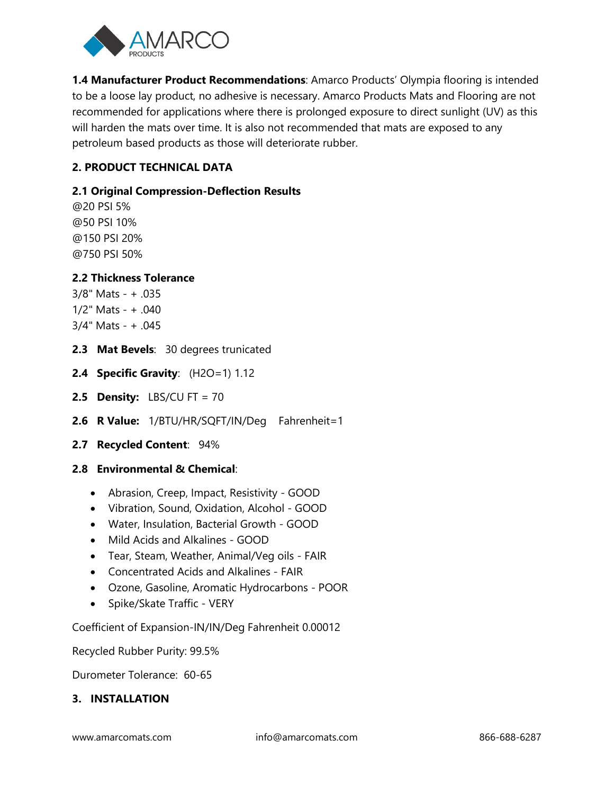

**1.4 Manufacturer Product Recommendations**: Amarco Products' Olympia flooring is intended to be a loose lay product, no adhesive is necessary. Amarco Products Mats and Flooring are not recommended for applications where there is prolonged exposure to direct sunlight (UV) as this will harden the mats over time. It is also not recommended that mats are exposed to any petroleum based products as those will deteriorate rubber.

## **2. PRODUCT TECHNICAL DATA**

### **2.1 Original Compression-Deflection Results**

@20 PSI 5% @50 PSI 10% @150 PSI 20% @750 PSI 50%

### **2.2 Thickness Tolerance**

- 3/8" Mats + .035 1/2" Mats - + .040 3/4" Mats - + .045
- **2.3 Mat Bevels**: 30 degrees trunicated
- **2.4 Specific Gravity**: (H2O=1) 1.12
- **2.5 Density:** LBS/CU FT = 70
- **2.6 R Value:** 1/BTU/HR/SQFT/IN/Deg Fahrenheit=1
- **2.7 Recycled Content**: 94%

#### **2.8 Environmental & Chemical**:

- Abrasion, Creep, Impact, Resistivity GOOD
- Vibration, Sound, Oxidation, Alcohol GOOD
- Water, Insulation, Bacterial Growth GOOD
- Mild Acids and Alkalines GOOD
- Tear, Steam, Weather, Animal/Veg oils FAIR
- Concentrated Acids and Alkalines FAIR
- Ozone, Gasoline, Aromatic Hydrocarbons POOR
- Spike/Skate Traffic VERY

Coefficient of Expansion-IN/IN/Deg Fahrenheit 0.00012

Recycled Rubber Purity: 99.5%

Durometer Tolerance: 60-65

### **3. INSTALLATION**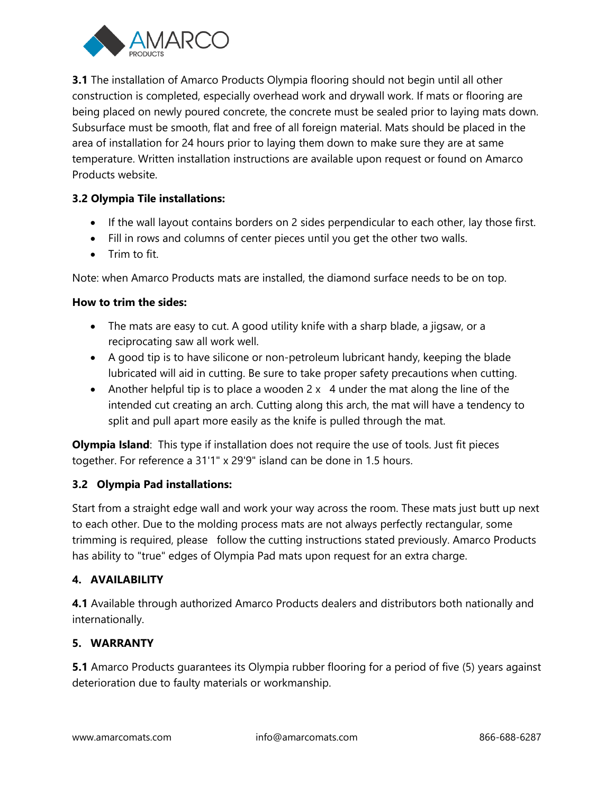

**3.1** The installation of Amarco Products Olympia flooring should not begin until all other construction is completed, especially overhead work and drywall work. If mats or flooring are being placed on newly poured concrete, the concrete must be sealed prior to laying mats down. Subsurface must be smooth, flat and free of all foreign material. Mats should be placed in the area of installation for 24 hours prior to laying them down to make sure they are at same temperature. Written installation instructions are available upon request or found on Amarco Products website.

## **3.2 Olympia Tile installations:**

- If the wall layout contains borders on 2 sides perpendicular to each other, lay those first.
- Fill in rows and columns of center pieces until you get the other two walls.
- $\bullet$  Trim to fit.

Note: when Amarco Products mats are installed, the diamond surface needs to be on top.

### **How to trim the sides:**

- The mats are easy to cut. A good utility knife with a sharp blade, a jigsaw, or a reciprocating saw all work well.
- A good tip is to have silicone or non-petroleum lubricant handy, keeping the blade lubricated will aid in cutting. Be sure to take proper safety precautions when cutting.
- Another helpful tip is to place a wooden  $2 \times 4$  under the mat along the line of the intended cut creating an arch. Cutting along this arch, the mat will have a tendency to split and pull apart more easily as the knife is pulled through the mat.

**Olympia Island**: This type if installation does not require the use of tools. Just fit pieces together. For reference a 31'1" x 29'9" island can be done in 1.5 hours.

### **3.2 Olympia Pad installations:**

Start from a straight edge wall and work your way across the room. These mats just butt up next to each other. Due to the molding process mats are not always perfectly rectangular, some trimming is required, please follow the cutting instructions stated previously. Amarco Products has ability to "true" edges of Olympia Pad mats upon request for an extra charge.

# **4. AVAILABILITY**

**4.1** Available through authorized Amarco Products dealers and distributors both nationally and internationally.

### **5. WARRANTY**

**5.1** Amarco Products guarantees its Olympia rubber flooring for a period of five (5) years against deterioration due to faulty materials or workmanship.